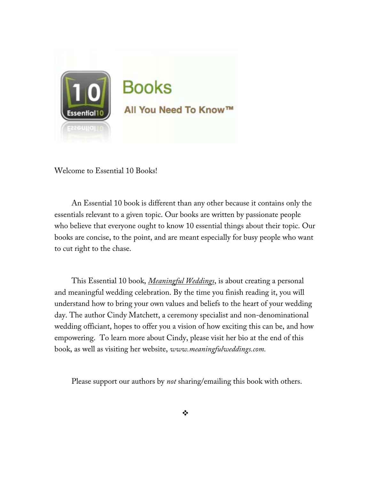

Welcome to Essential 10 Books!

An Essential 10 book is different than any other because it contains only the essentials relevant to a given topic. Our books are written by passionate people who believe that everyone ought to know 10 essential things about their topic. Our books are concise, to the point, and are meant especially for busy people who want to cut right to the chase.

This Essential 10 book, *Meaningful Weddings*, is about creating a personal and meaningful wedding celebration. By the time you finish reading it, you will understand how to bring your own values and beliefs to the heart of your wedding day. The author Cindy Matchett, a ceremony specialist and non-denominational wedding officiant, hopes to offer you a vision of how exciting this can be, and how empowering. To learn more about Cindy, please visit her bio at the end of this book, as well as visiting her website, *www.meaningfulweddings.com.*

Please support our authors by *not* sharing/emailing this book with others.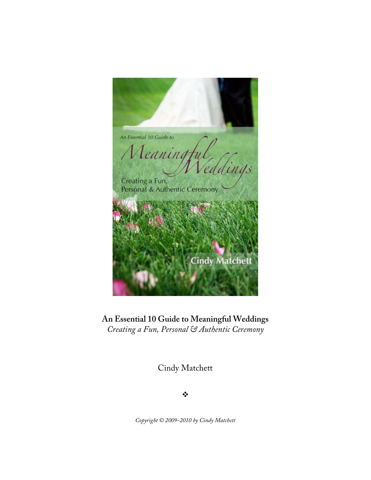An Essential 10 Guide to An Essential 10 Guide to<br>Meaningful, G. Creating a Fun, Personal & Authentic Ceremony **Cindy Matchett** 

**An Essential 10 Guide to Meaningful Weddings** *Creating a Fun, Personal & Authentic Ceremony*

Cindy Matchett

❖

*Copyright © 2009-2010 by Cindy Matchett*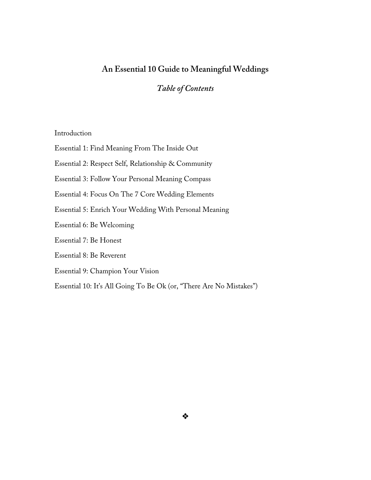# **An Essential 10 Guide to Meaningful Weddings**

# *Table of Contents*

Introduction

Essential 1: Find Meaning From The Inside Out

Essential 2: Respect Self, Relationship & Community

Essential 3: Follow Your Personal Meaning Compass

Essential 4: Focus On The 7 Core Wedding Elements

Essential 5: Enrich Your Wedding With Personal Meaning

Essential 6: Be Welcoming

Essential 7: Be Honest

Essential 8: Be Reverent

Essential 9: Champion Your Vision

Essential 10: It's All Going To Be Ok (or, "There Are No Mistakes")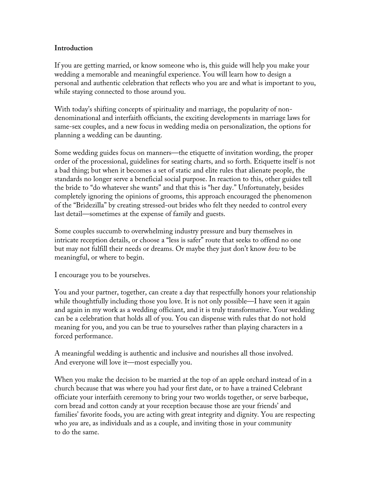#### **Introduction**

If you are getting married, or know someone who is, this guide will help you make your wedding a memorable and meaningful experience. You will learn how to design a personal and authentic celebration that reflects who you are and what is important to you, while staying connected to those around you.

With today's shifting concepts of spirituality and marriage, the popularity of nondenominational and interfaith officiants, the exciting developments in marriage laws for same-sex couples, and a new focus in wedding media on personalization, the options for planning a wedding can be daunting.

Some wedding guides focus on manners—the etiquette of invitation wording, the proper order of the processional, guidelines for seating charts, and so forth. Etiquette itself is not a bad thing; but when it becomes a set of static and elite rules that alienate people, the standards no longer serve a beneficial social purpose. In reaction to this, other guides tell the bride to "do whatever she wants" and that this is "her day." Unfortunately, besides completely ignoring the opinions of grooms, this approach encouraged the phenomenon of the "Bridezilla" by creating stressed-out brides who felt they needed to control every last detail—sometimes at the expense of family and guests.

Some couples succumb to overwhelming industry pressure and bury themselves in intricate reception details, or choose a "less is safer" route that seeks to offend no one but may not fulfill their needs or dreams. Or maybe they just don't know *how* to be meaningful, or where to begin.

I encourage you to be yourselves.

You and your partner, together, can create a day that respectfully honors your relationship while thoughtfully including those you love. It is not only possible—I have seen it again and again in my work as a wedding officiant, and it is truly transformative. Your wedding can be a celebration that holds all of you. You can dispense with rules that do not hold meaning for you, and you can be true to yourselves rather than playing characters in a forced performance.

A meaningful wedding is authentic and inclusive and nourishes all those involved. And everyone will love it—most especially you.

When you make the decision to be married at the top of an apple orchard instead of in a church because that was where you had your first date, or to have a trained Celebrant officiate your interfaith ceremony to bring your two worlds together, or serve barbeque, corn bread and cotton candy at your reception because those are your friends' and families' favorite foods, you are acting with great integrity and dignity. You are respecting who *you* are, as individuals and as a couple, and inviting those in your community to do the same.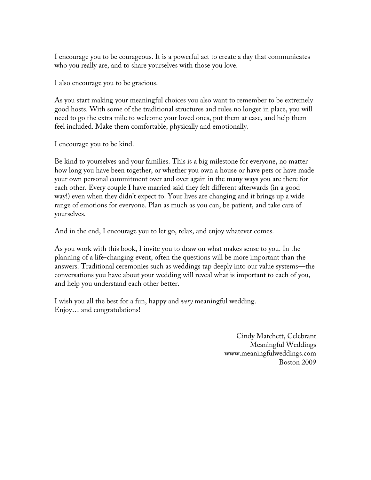I encourage you to be courageous. It is a powerful act to create a day that communicates who you really are, and to share yourselves with those you love.

I also encourage you to be gracious.

As you start making your meaningful choices you also want to remember to be extremely good hosts. With some of the traditional structures and rules no longer in place, you will need to go the extra mile to welcome your loved ones, put them at ease, and help them feel included. Make them comfortable, physically and emotionally.

I encourage you to be kind.

Be kind to yourselves and your families. This is a big milestone for everyone, no matter how long you have been together, or whether you own a house or have pets or have made your own personal commitment over and over again in the many ways you are there for each other. Every couple I have married said they felt different afterwards (in a good way!) even when they didn't expect to. Your lives are changing and it brings up a wide range of emotions for everyone. Plan as much as you can, be patient, and take care of yourselves.

And in the end, I encourage you to let go, relax, and enjoy whatever comes.

As you work with this book, I invite you to draw on what makes sense to you. In the planning of a life-changing event, often the questions will be more important than the answers. Traditional ceremonies such as weddings tap deeply into our value systems—the conversations you have about your wedding will reveal what is important to each of you, and help you understand each other better.

I wish you all the best for a fun, happy and *very* meaningful wedding. Enjoy… and congratulations!

> Cindy Matchett, Celebrant Meaningful Weddings www.meaningfulweddings.com Boston 2009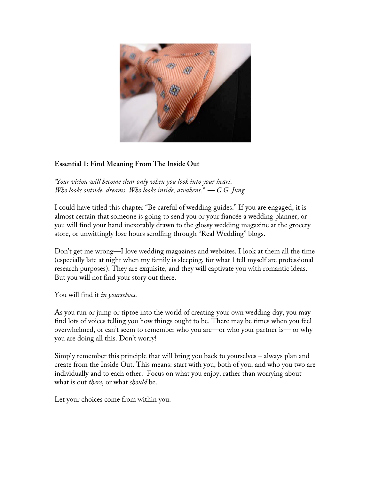

# **Essential 1: Find Meaning From The Inside Out**

*"Your vision will become clear only when you look into your heart. Who looks outside, dreams. Who looks inside, awakens." — C.G. Jung*

I could have titled this chapter "Be careful of wedding guides." If you are engaged, it is almost certain that someone is going to send you or your fiancée a wedding planner, or you will find your hand inexorably drawn to the glossy wedding magazine at the grocery store, or unwittingly lose hours scrolling through "Real Wedding" blogs.

Don't get me wrong—I love wedding magazines and websites. I look at them all the time (especially late at night when my family is sleeping, for what I tell myself are professional research purposes). They are exquisite, and they will captivate you with romantic ideas. But you will not find your story out there.

You will find it *in yourselves*.

As you run or jump or tiptoe into the world of creating your own wedding day, you may find lots of voices telling you how things ought to be. There may be times when you feel overwhelmed, or can't seem to remember who you are—or who your partner is— or why you are doing all this. Don't worry!

Simply remember this principle that will bring you back to yourselves – always plan and create from the Inside Out. This means: start with you, both of you, and who you two are individually and to each other. Focus on what you enjoy, rather than worrying about what is out *there*, or what *should* be.

Let your choices come from within you.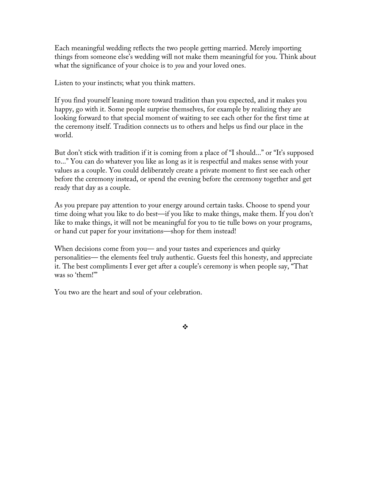Each meaningful wedding reflects the two people getting married. Merely importing things from someone else's wedding will not make them meaningful for you. Think about what the significance of your choice is to *you* and your loved ones.

Listen to your instincts; what you think matters.

If you find yourself leaning more toward tradition than you expected, and it makes you happy, go with it. Some people surprise themselves, for example by realizing they are looking forward to that special moment of waiting to see each other for the first time at the ceremony itself. Tradition connects us to others and helps us find our place in the world.

But don't stick with tradition if it is coming from a place of "I should..." or "It's supposed to..." You can do whatever you like as long as it is respectful and makes sense with your values as a couple. You could deliberately create a private moment to first see each other before the ceremony instead, or spend the evening before the ceremony together and get ready that day as a couple.

As you prepare pay attention to your energy around certain tasks. Choose to spend your time doing what you like to do best—if you like to make things, make them. If you don't like to make things, it will not be meaningful for you to tie tulle bows on your programs, or hand cut paper for your invitations—shop for them instead!

When decisions come from you— and your tastes and experiences and quirky personalities— the elements feel truly authentic. Guests feel this honesty, and appreciate it. The best compliments I ever get after a couple's ceremony is when people say, "That was so 'them!'"

❖

You two are the heart and soul of your celebration.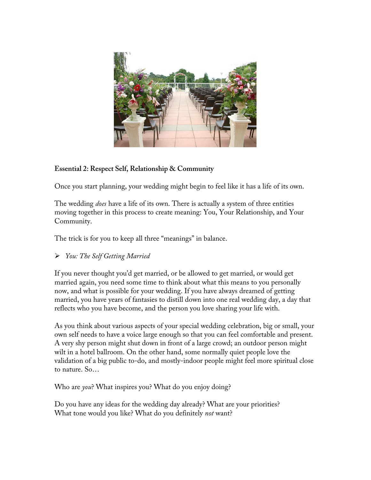

# **Essential 2: Respect Self, Relationship & Community**

Once you start planning, your wedding might begin to feel like it has a life of its own.

The wedding *does* have a life of its own. There is actually a system of three entities moving together in this process to create meaning: You, Your Relationship, and Your Community.

The trick is for you to keep all three "meanings" in balance.

# *You: The Self Getting Married*

If you never thought you'd get married, or be allowed to get married, or would get married again, you need some time to think about what this means to you personally now, and what is possible for your wedding. If you have always dreamed of getting married, you have years of fantasies to distill down into one real wedding day, a day that reflects who you have become, and the person you love sharing your life with.

As you think about various aspects of your special wedding celebration, big or small, your own self needs to have a voice large enough so that you can feel comfortable and present. A very shy person might shut down in front of a large crowd; an outdoor person might wilt in a hotel ballroom. On the other hand, some normally quiet people love the validation of a big public to-do, and mostly-indoor people might feel more spiritual close to nature. So…

Who are *you*? What inspires you? What do you enjoy doing?

Do you have any ideas for the wedding day already? What are your priorities? What tone would you like? What do you definitely *not* want?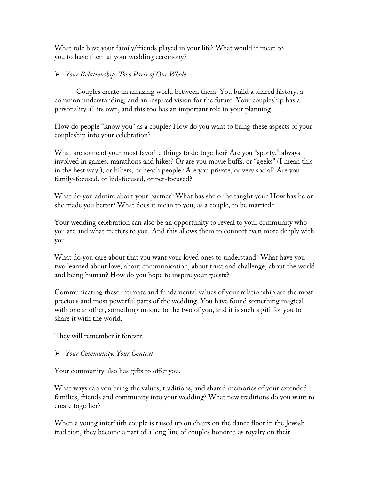What role have your family/friends played in your life? What would it mean to you to have them at your wedding ceremony?

### *Your Relationship: Two Parts of One Whole*

Couples create an amazing world between them. You build a shared history, a common understanding, and an inspired vision for the future. Your coupleship has a personality all its own, and this too has an important role in your planning.

How do people "know you" as a couple? How do you want to bring these aspects of your coupleship into your celebration?

What are some of your most favorite things to do together? Are you "sporty," always involved in games, marathons and hikes? Or are you movie buffs, or "geeks" (I mean this in the best way!), or hikers, or beach people? Are you private, or very social? Are you family-focused, or kid-focused, or pet-focused?

What do you admire about your partner? What has she or he taught you? How has he or she made you better? What does it mean to you, as a couple, to be married?

Your wedding celebration can also be an opportunity to reveal to your community who you are and what matters to you. And this allows them to connect even more deeply with you.

What do you care about that you want your loved ones to understand? What have you two learned about love, about communication, about trust and challenge, about the world and being human? How do you hope to inspire your guests?

Communicating these intimate and fundamental values of your relationship are the most precious and most powerful parts of the wedding. You have found something magical with one another, something unique to the two of you, and it is such a gift for you to share it with the world.

They will remember it forever.

#### *Your Community: Your Context*

Your community also has gifts to offer you.

What ways can you bring the values, traditions, and shared memories of your extended families, friends and community into your wedding? What new traditions do you want to create together?

When a young interfaith couple is raised up on chairs on the dance floor in the Jewish tradition, they become a part of a long line of couples honored as royalty on their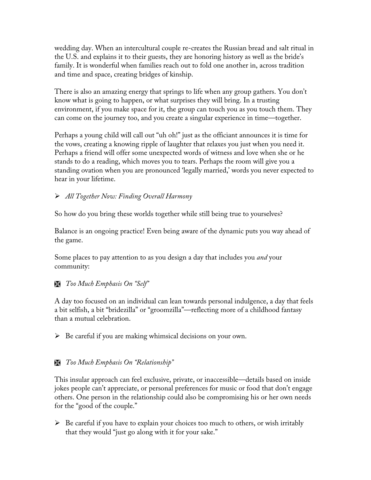wedding day. When an intercultural couple re-creates the Russian bread and salt ritual in the U.S. and explains it to their guests, they are honoring history as well as the bride's family. It is wonderful when families reach out to fold one another in, across tradition and time and space, creating bridges of kinship.

There is also an amazing energy that springs to life when any group gathers. You don't know what is going to happen, or what surprises they will bring. In a trusting environment, if you make space for it, the group can touch you as you touch them. They can come on the journey too, and you create a singular experience in time—together.

Perhaps a young child will call out "uh oh!" just as the officiant announces it is time for the vows, creating a knowing ripple of laughter that relaxes you just when you need it. Perhaps a friend will offer some unexpected words of witness and love when she or he stands to do a reading, which moves you to tears. Perhaps the room will give you a standing ovation when you are pronounced 'legally married,' words you never expected to hear in your lifetime.

# *All Together Now: Finding Overall Harmony*

So how do you bring these worlds together while still being true to yourselves?

Balance is an ongoing practice! Even being aware of the dynamic puts you way ahead of the game.

Some places to pay attention to as you design a day that includes you *and* your community:

# *Too Much Emphasis On "Self"*

A day too focused on an individual can lean towards personal indulgence, a day that feels a bit selfish, a bit "bridezilla" or "groomzilla"—reflecting more of a childhood fantasy than a mutual celebration.

 $\triangleright$  Be careful if you are making whimsical decisions on your own.

# *Too Much Emphasis On "Relationship"*

This insular approach can feel exclusive, private, or inaccessible—details based on inside jokes people can't appreciate, or personal preferences for music or food that don't engage others. One person in the relationship could also be compromising his or her own needs for the "good of the couple."

 $\triangleright$  Be careful if you have to explain your choices too much to others, or wish irritably that they would "just go along with it for your sake."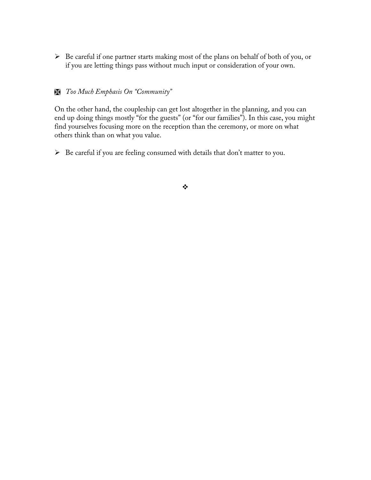$\triangleright$  Be careful if one partner starts making most of the plans on behalf of both of you, or if you are letting things pass without much input or consideration of your own.

#### *Too Much Emphasis On "Community"*

On the other hand, the coupleship can get lost altogether in the planning, and you can end up doing things mostly "for the guests" (or "for our families"). In this case, you might find yourselves focusing more on the reception than the ceremony, or more on what others think than on what you value.

 $\triangleright$  Be careful if you are feeling consumed with details that don't matter to you.

 $\bullet^{\bullet}_{\bullet} \bullet$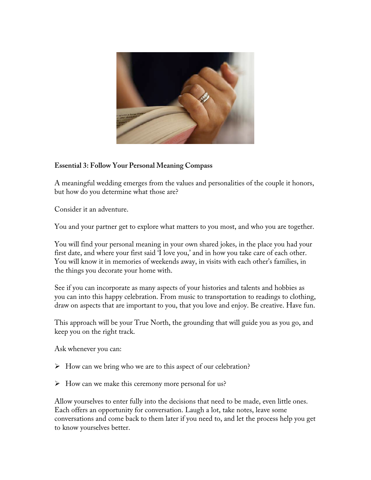

#### **Essential 3: Follow Your Personal Meaning Compass**

A meaningful wedding emerges from the values and personalities of the couple it honors, but how do you determine what those are?

Consider it an adventure.

You and your partner get to explore what matters to you most, and who you are together.

You will find your personal meaning in your own shared jokes, in the place you had your first date, and where your first said 'I love you,' and in how you take care of each other. You will know it in memories of weekends away, in visits with each other's families, in the things you decorate your home with.

See if you can incorporate as many aspects of your histories and talents and hobbies as you can into this happy celebration. From music to transportation to readings to clothing, draw on aspects that are important to you, that you love and enjoy. Be creative. Have fun.

This approach will be your True North, the grounding that will guide you as you go, and keep you on the right track.

Ask whenever you can:

- $\triangleright$  How can we bring who we are to this aspect of our celebration?
- $\triangleright$  How can we make this ceremony more personal for us?

Allow yourselves to enter fully into the decisions that need to be made, even little ones. Each offers an opportunity for conversation. Laugh a lot, take notes, leave some conversations and come back to them later if you need to, and let the process help you get to know yourselves better.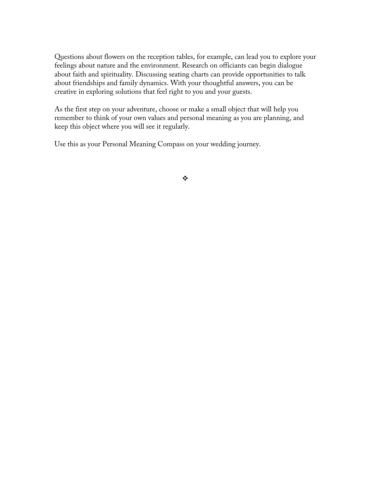Questions about flowers on the reception tables, for example, can lead you to explore your feelings about nature and the environment. Research on officiants can begin dialogue about faith and spirituality. Discussing seating charts can provide opportunities to talk about friendships and family dynamics. With your thoughtful answers, you can be creative in exploring solutions that feel right to you and your guests.

As the first step on your adventure, choose or make a small object that will help you remember to think of your own values and personal meaning as you are planning, and keep this object where you will see it regularly.

Use this as your Personal Meaning Compass on your wedding journey.

 $\star^*_{\bullet^*}$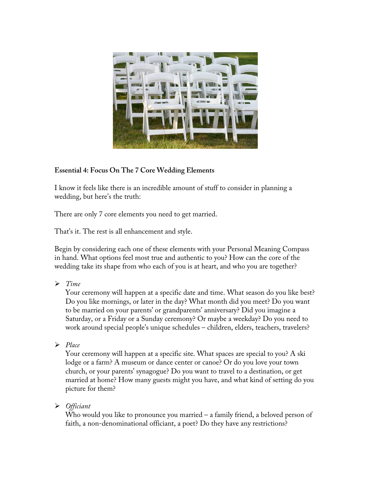

# **Essential 4: Focus On The 7 Core Wedding Elements**

I know it feels like there is an incredible amount of stuff to consider in planning a wedding, but here's the truth:

There are only 7 core elements you need to get married.

That's it. The rest is all enhancement and style.

Begin by considering each one of these elements with your Personal Meaning Compass in hand. What options feel most true and authentic to you? How can the core of the wedding take its shape from who each of you is at heart, and who you are together?

*Time*

Your ceremony will happen at a specific date and time. What season do you like best? Do you like mornings, or later in the day? What month did you meet? Do you want to be married on your parents' or grandparents' anniversary? Did you imagine a Saturday, or a Friday or a Sunday ceremony? Or maybe a weekday? Do you need to work around special people's unique schedules – children, elders, teachers, travelers?

*Place*

Your ceremony will happen at a specific site. What spaces are special to you? A ski lodge or a farm? A museum or dance center or canoe? Or do you love your town church, or your parents' synagogue? Do you want to travel to a destination, or get married at home? How many guests might you have, and what kind of setting do you picture for them?

*Officiant*

Who would you like to pronounce you married – a family friend, a beloved person of faith, a non-denominational officiant, a poet? Do they have any restrictions?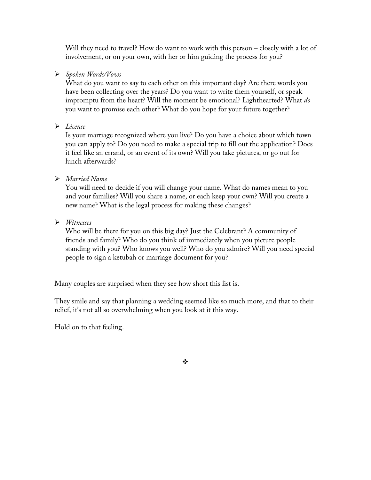Will they need to travel? How do want to work with this person – closely with a lot of involvement, or on your own, with her or him guiding the process for you?

#### *Spoken Words/Vows*

What do you want to say to each other on this important day? Are there words you have been collecting over the years? Do you want to write them yourself, or speak impromptu from the heart? Will the moment be emotional? Lighthearted? What *do* you want to promise each other? What do you hope for your future together?

#### *License*

Is your marriage recognized where you live? Do you have a choice about which town you can apply to? Do you need to make a special trip to fill out the application? Does it feel like an errand, or an event of its own? Will you take pictures, or go out for lunch afterwards?

# *Married Name*

You will need to decide if you will change your name. What do names mean to you and your families? Will you share a name, or each keep your own? Will you create a new name? What is the legal process for making these changes?

# *Witnesses*

Who will be there for you on this big day? Just the Celebrant? A community of friends and family? Who do you think of immediately when you picture people standing with you? Who knows you well? Who do you admire? Will you need special people to sign a ketubah or marriage document for you?

Many couples are surprised when they see how short this list is.

They smile and say that planning a wedding seemed like so much more, and that to their relief, it's not all so overwhelming when you look at it this way.

Hold on to that feeling.

#### ❖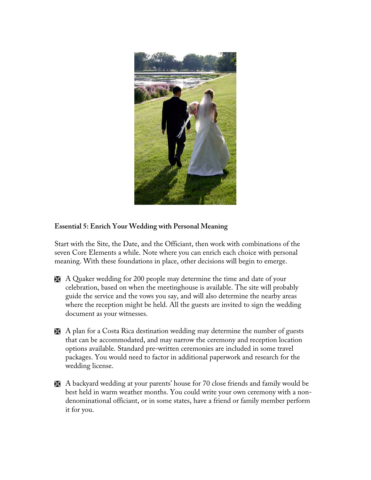

# **Essential 5: Enrich Your Wedding with Personal Meaning**

Start with the Site, the Date, and the Officiant, then work with combinations of the seven Core Elements a while. Note where you can enrich each choice with personal meaning. With these foundations in place, other decisions will begin to emerge.

- A Quaker wedding for 200 people may determine the time and date of your celebration, based on when the meetinghouse is available. The site will probably guide the service and the vows you say, and will also determine the nearby areas where the reception might be held. All the guests are invited to sign the wedding document as your witnesses.
- A plan for a Costa Rica destination wedding may determine the number of guests that can be accommodated, and may narrow the ceremony and reception location options available. Standard pre-written ceremonies are included in some travel packages. You would need to factor in additional paperwork and research for the wedding license.
- A backyard wedding at your parents' house for 70 close friends and family would be best held in warm weather months. You could write your own ceremony with a nondenominational officiant, or in some states, have a friend or family member perform it for you.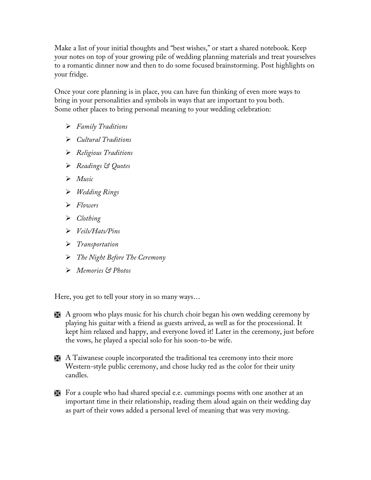Make a list of your initial thoughts and "best wishes," or start a shared notebook. Keep your notes on top of your growing pile of wedding planning materials and treat yourselves to a romantic dinner now and then to do some focused brainstorming. Post highlights on your fridge.

Once your core planning is in place, you can have fun thinking of even more ways to bring in your personalities and symbols in ways that are important to you both. Some other places to bring personal meaning to your wedding celebration:

- *Family Traditions*
- *Cultural Traditions*
- *Religious Traditions*
- *Readings & Quotes*
- *Music*
- *Wedding Rings*
- *Flowers*
- *Clothing*
- *Veils/Hats/Pins*
- *Transportation*
- *The Night Before The Ceremony*
- *Memories & Photos*

Here, you get to tell your story in so many ways…

- $\mathbb R$  A groom who plays music for his church choir began his own wedding ceremony by playing his guitar with a friend as guests arrived, as well as for the processional. It kept him relaxed and happy, and everyone loved it! Later in the ceremony, just before the vows, he played a special solo for his soon-to-be wife.
- 

A Taiwanese couple incorporated the traditional tea ceremony into their more Western-style public ceremony, and chose lucky red as the color for their unity candles.

For a couple who had shared special e.e. cummings poems with one another at an important time in their relationship, reading them aloud again on their wedding day as part of their vows added a personal level of meaning that was very moving.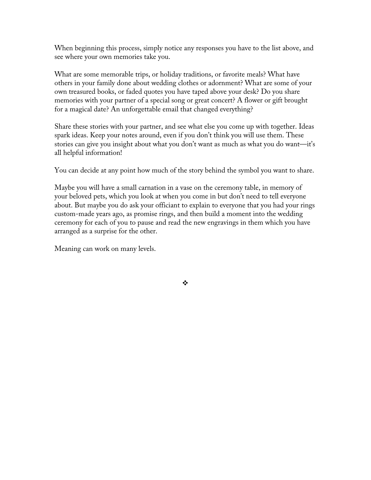When beginning this process, simply notice any responses you have to the list above, and see where your own memories take you.

What are some memorable trips, or holiday traditions, or favorite meals? What have others in your family done about wedding clothes or adornment? What are some of your own treasured books, or faded quotes you have taped above your desk? Do you share memories with your partner of a special song or great concert? A flower or gift brought for a magical date? An unforgettable email that changed everything?

Share these stories with your partner, and see what else you come up with together. Ideas spark ideas. Keep your notes around, even if you don't think you will use them. These stories can give you insight about what you don't want as much as what you do want—it's all helpful information!

You can decide at any point how much of the story behind the symbol you want to share.

Maybe you will have a small carnation in a vase on the ceremony table, in memory of your beloved pets, which you look at when you come in but don't need to tell everyone about. But maybe you do ask your officiant to explain to everyone that you had your rings custom-made years ago, as promise rings, and then build a moment into the wedding ceremony for each of you to pause and read the new engravings in them which you have arranged as a surprise for the other.

Meaning can work on many levels.

❖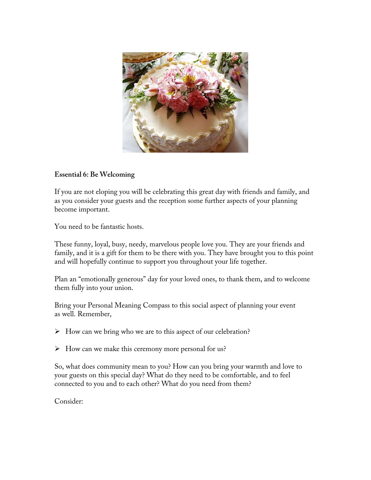

#### **Essential 6: Be Welcoming**

If you are not eloping you will be celebrating this great day with friends and family, and as you consider your guests and the reception some further aspects of your planning become important.

You need to be fantastic hosts.

These funny, loyal, busy, needy, marvelous people love you. They are your friends and family, and it is a gift for them to be there with you. They have brought you to this point and will hopefully continue to support you throughout your life together.

Plan an "emotionally generous" day for your loved ones, to thank them, and to welcome them fully into your union.

Bring your Personal Meaning Compass to this social aspect of planning your event as well. Remember,

 $\triangleright$  How can we bring who we are to this aspect of our celebration?

 $\triangleright$  How can we make this ceremony more personal for us?

So, what does community mean to you? How can you bring your warmth and love to your guests on this special day? What do they need to be comfortable, and to feel connected to you and to each other? What do you need from them?

Consider: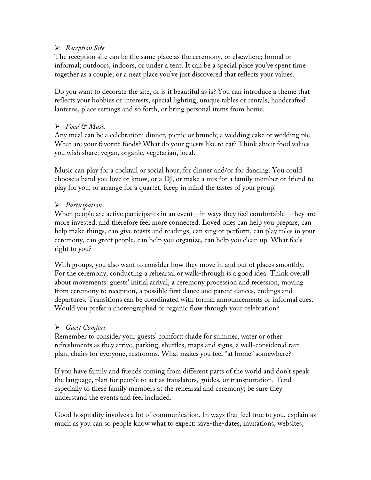#### *Reception Site*

The reception site can be the same place as the ceremony, or elsewhere; formal or informal; outdoors, indoors, or under a tent. It can be a special place you've spent time together as a couple, or a neat place you've just discovered that reflects your values.

Do you want to decorate the site, or is it beautiful as is? You can introduce a theme that reflects your hobbies or interests, special lighting, unique tables or rentals, handcrafted lanterns, place settings and so forth, or bring personal items from home.

# *Food & Music*

Any meal can be a celebration: dinner, picnic or brunch; a wedding cake or wedding pie. What are your favorite foods? What do your guests like to eat? Think about food values you wish share: vegan, organic, vegetarian, local.

Music can play for a cocktail or social hour, for dinner and/or for dancing. You could choose a band you love or know, or a DJ, or make a mix for a family member or friend to play for you, or arrange for a quartet. Keep in mind the tastes of your group!

# *Participation*

When people are active participants in an event—in ways they feel comfortable—they are more invested, and therefore feel more connected. Loved ones can help you prepare, can help make things, can give toasts and readings, can sing or perform, can play roles in your ceremony, can greet people, can help you organize, can help you clean up. What feels right to you?

With groups, you also want to consider how they move in and out of places smoothly. For the ceremony, conducting a rehearsal or walk-through is a good idea. Think overall about movements: guests' initial arrival, a ceremony procession and recession, moving from ceremony to reception, a possible first dance and parent dances, endings and departures. Transitions can be coordinated with formal announcements or informal cues. Would you prefer a choreographed or organic flow through your celebration?

# *Guest Comfort*

Remember to consider your guests' comfort: shade for summer, water or other refreshments as they arrive, parking, shuttles, maps and signs, a well-considered rain plan, chairs for everyone, restrooms. What makes you feel "at home" somewhere?

If you have family and friends coming from different parts of the world and don't speak the language, plan for people to act as translators, guides, or transportation. Tend especially to these family members at the rehearsal and ceremony; be sure they understand the events and feel included.

Good hospitality involves a lot of communication. In ways that feel true to you, explain as much as you can so people know what to expect: save-the-dates, invitations, websites,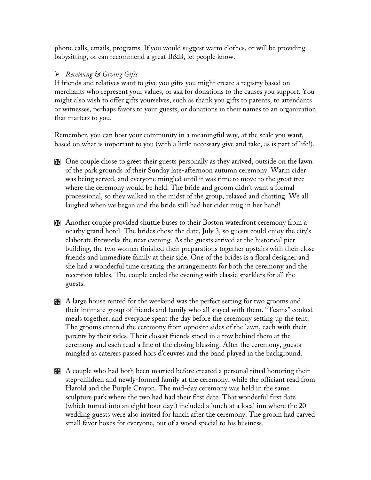phone calls, emails, programs. If you would suggest warm clothes, or will be providing babysitting, or can recommend a great B&B, let people know.

### *Receiving & Giving Gifts*

If friends and relatives want to give you gifts you might create a registry based on merchants who represent your values, or ask for donations to the causes you support. You might also wish to offer gifts yourselves, such as thank you gifts to parents, to attendants or witnesses, perhaps favors to your guests, or donations in their names to an organization that matters to you.

Remember, you can host your community in a meaningful way, at the scale you want, based on what is important to you (with a little necessary give and take, as is part of life!).

 One couple chose to greet their guests personally as they arrived, outside on the lawn of the park grounds of their Sunday late-afternoon autumn ceremony. Warm cider was being served, and everyone mingled until it was time to move to the great tree where the ceremony would be held. The bride and groom didn't want a formal processional, so they walked in the midst of the group, relaxed and chatting. We all laughed when we began and the bride still had her cider mug in her hand!

 Another couple provided shuttle buses to their Boston waterfront ceremony from a nearby grand hotel. The brides chose the date, July 3, so guests could enjoy the city's elaborate fireworks the next evening. As the guests arrived at the historical pier building, the two women finished their preparations together upstairs with their close friends and immediate family at their side. One of the brides is a floral designer and she had a wonderful time creating the arrangements for both the ceremony and the reception tables. The couple ended the evening with classic sparklers for all the guests.

 A large house rented for the weekend was the perfect setting for two grooms and their intimate group of friends and family who all stayed with them. "Teams" cooked meals together, and everyone spent the day before the ceremony setting up the tent. The grooms entered the ceremony from opposite sides of the lawn, each with their parents by their sides. Their closest friends stood in a row behind them at the ceremony and each read a line of the closing blessing. After the ceremony, guests mingled as caterers passed hors d'oeuvres and the band played in the background.

 A couple who had both been married before created a personal ritual honoring their step-children and newly-formed family at the ceremony, while the officiant read from Harold and the Purple Crayon. The mid-day ceremony was held in the same sculpture park where the two had had their first date. That wonderful first date (which turned into an eight hour day!) included a lunch at a local inn where the 20 wedding guests were also invited for lunch after the ceremony. The groom had carved small favor boxes for everyone, out of a wood special to his business.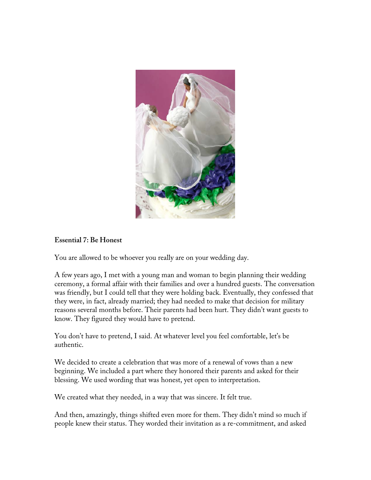

#### **Essential 7: Be Honest**

You are allowed to be whoever you really are on your wedding day.

A few years ago, I met with a young man and woman to begin planning their wedding ceremony, a formal affair with their families and over a hundred guests. The conversation was friendly, but I could tell that they were holding back. Eventually, they confessed that they were, in fact, already married; they had needed to make that decision for military reasons several months before. Their parents had been hurt. They didn't want guests to know. They figured they would have to pretend.

You don't have to pretend, I said. At whatever level you feel comfortable, let's be authentic.

We decided to create a celebration that was more of a renewal of vows than a new beginning. We included a part where they honored their parents and asked for their blessing. We used wording that was honest, yet open to interpretation.

We created what they needed, in a way that was sincere. It felt true.

And then, amazingly, things shifted even more for them. They didn't mind so much if people knew their status. They worded their invitation as a re-commitment, and asked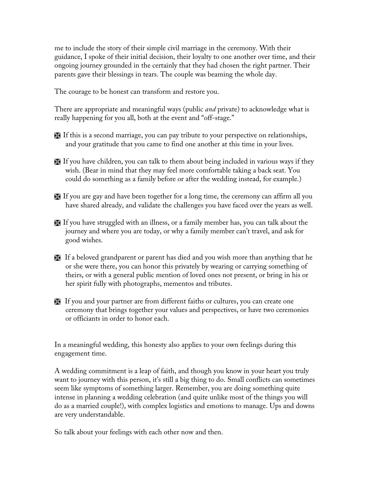me to include the story of their simple civil marriage in the ceremony. With their guidance, I spoke of their initial decision, their loyalty to one another over time, and their ongoing journey grounded in the certainly that they had chosen the right partner. Their parents gave their blessings in tears. The couple was beaming the whole day.

The courage to be honest can transform and restore you.

There are appropriate and meaningful ways (public *and* private) to acknowledge what is really happening for you all, both at the event and "off-stage."

 If this is a second marriage, you can pay tribute to your perspective on relationships, and your gratitude that you came to find one another at this time in your lives.

 If you have children, you can talk to them about being included in various ways if they wish. (Bear in mind that they may feel more comfortable taking a back seat. You could do something as a family before or after the wedding instead, for example.)

 If you are gay and have been together for a long time, the ceremony can affirm all you have shared already, and validate the challenges you have faced over the years as well.

 If you have struggled with an illness, or a family member has, you can talk about the journey and where you are today, or why a family member can't travel, and ask for good wishes.

 If a beloved grandparent or parent has died and you wish more than anything that he or she were there, you can honor this privately by wearing or carrying something of theirs, or with a general public mention of loved ones not present, or bring in his or her spirit fully with photographs, mementos and tributes.

 If you and your partner are from different faiths or cultures, you can create one ceremony that brings together your values and perspectives, or have two ceremonies or officiants in order to honor each.

In a meaningful wedding, this honesty also applies to your own feelings during this engagement time.

A wedding commitment is a leap of faith, and though you know in your heart you truly want to journey with this person, it's still a big thing to do. Small conflicts can sometimes seem like symptoms of something larger. Remember, you are doing something quite intense in planning a wedding celebration (and quite unlike most of the things you will do as a married couple!), with complex logistics and emotions to manage. Ups and downs are very understandable.

So talk about your feelings with each other now and then.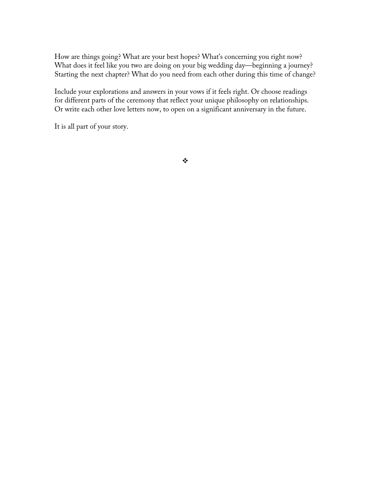How are things going? What are your best hopes? What's concerning you right now? What does it feel like you two are doing on your big wedding day—beginning a journey? Starting the next chapter? What do you need from each other during this time of change?

Include your explorations and answers in your vows if it feels right. Or choose readings for different parts of the ceremony that reflect your unique philosophy on relationships. Or write each other love letters now, to open on a significant anniversary in the future.

It is all part of your story.

 $\bullet$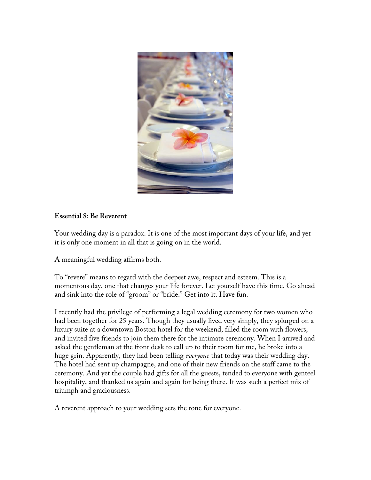

#### **Essential 8: Be Reverent**

Your wedding day is a paradox. It is one of the most important days of your life, and yet it is only one moment in all that is going on in the world.

A meaningful wedding affirms both.

To "revere" means to regard with the deepest awe, respect and esteem. This is a momentous day, one that changes your life forever. Let yourself have this time. Go ahead and sink into the role of "groom" or "bride." Get into it. Have fun.

I recently had the privilege of performing a legal wedding ceremony for two women who had been together for 25 years. Though they usually lived very simply, they splurged on a luxury suite at a downtown Boston hotel for the weekend, filled the room with flowers, and invited five friends to join them there for the intimate ceremony. When I arrived and asked the gentleman at the front desk to call up to their room for me, he broke into a huge grin. Apparently, they had been telling *everyone* that today was their wedding day. The hotel had sent up champagne, and one of their new friends on the staff came to the ceremony. And yet the couple had gifts for all the guests, tended to everyone with genteel hospitality, and thanked us again and again for being there. It was such a perfect mix of triumph and graciousness.

A reverent approach to your wedding sets the tone for everyone.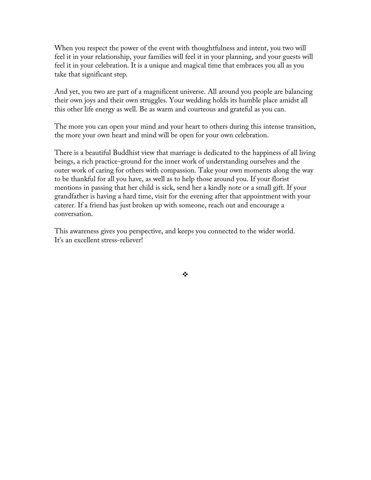When you respect the power of the event with thoughtfulness and intent, you two will feel it in your relationship, your families will feel it in your planning, and your guests will feel it in your celebration. It is a unique and magical time that embraces you all as you take that significant step.

And yet, you two are part of a magnificent universe. All around you people are balancing their own joys and their own struggles. Your wedding holds its humble place amidst all this other life energy as well. Be as warm and courteous and grateful as you can.

The more you can open your mind and your heart to others during this intense transition, the more your own heart and mind will be open for your own celebration.

There is a beautiful Buddhist view that marriage is dedicated to the happiness of all living beings, a rich practice-ground for the inner work of understanding ourselves and the outer work of caring for others with compassion. Take your own moments along the way to be thankful for all you have, as well as to help those around you. If your florist mentions in passing that her child is sick, send her a kindly note or a small gift. If your grandfather is having a hard time, visit for the evening after that appointment with your caterer. If a friend has just broken up with someone, reach out and encourage a conversation.

This awareness gives you perspective, and keeps you connected to the wider world. It's an excellent stress-reliever!

 $\frac{1}{2}$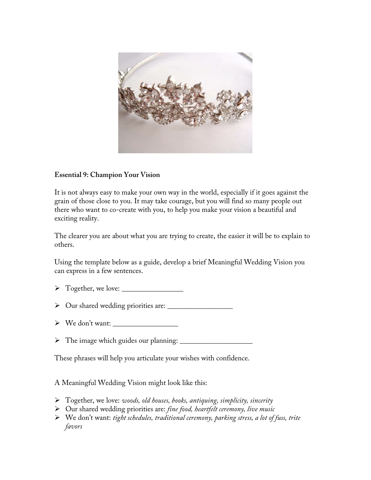

# **Essential 9: Champion Your Vision**

It is not always easy to make your own way in the world, especially if it goes against the grain of those close to you. It may take courage, but you will find so many people out there who want to co-create with you, to help you make your vision a beautiful and exciting reality.

The clearer you are about what you are trying to create, the easier it will be to explain to others.

Using the template below as a guide, develop a brief Meaningful Wedding Vision you can express in a few sentences.

- $\triangleright$  Together, we love:
- Our shared wedding priorities are: \_\_\_\_\_\_\_\_\_\_\_\_\_\_\_\_\_\_
- $\triangleright$  We don't want:

The image which guides our planning: \_\_\_\_\_\_\_\_\_\_\_\_\_\_\_\_\_\_\_\_

These phrases will help you articulate your wishes with confidence.

A Meaningful Wedding Vision might look like this:

- Together, we love: *woods, old houses, books, antiquing, simplicity, sincerity*
- Our shared wedding priorities are: *fine food, heartfelt ceremony, live music*
- We don't want: *tight schedules, traditional ceremony, parking stress, a lot of fuss, trite favors*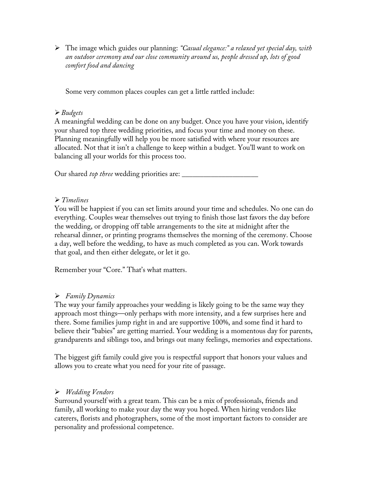The image which guides our planning: *"Casual elegance:" a relaxed yet special day, with an outdoor ceremony and our close community around us, people dressed up, lots of good comfort food and dancing*

Some very common places couples can get a little rattled include:

#### *Budgets*

A meaningful wedding can be done on any budget. Once you have your vision, identify your shared top three wedding priorities, and focus your time and money on these. Planning meaningfully will help you be more satisfied with where your resources are allocated. Not that it isn't a challenge to keep within a budget. You'll want to work on balancing all your worlds for this process too.

Our shared *top three* wedding priorities are: \_\_\_\_\_\_\_\_\_\_\_\_\_\_\_\_\_\_\_\_\_

# *Timelines*

You will be happiest if you can set limits around your time and schedules. No one can do everything. Couples wear themselves out trying to finish those last favors the day before the wedding, or dropping off table arrangements to the site at midnight after the rehearsal dinner, or printing programs themselves the morning of the ceremony. Choose a day, well before the wedding, to have as much completed as you can. Work towards that goal, and then either delegate, or let it go.

Remember your "Core." That's what matters.

# *Family Dynamics*

The way your family approaches your wedding is likely going to be the same way they approach most things—only perhaps with more intensity, and a few surprises here and there. Some families jump right in and are supportive 100%, and some find it hard to believe their "babies" are getting married. Your wedding is a momentous day for parents, grandparents and siblings too, and brings out many feelings, memories and expectations.

The biggest gift family could give you is respectful support that honors your values and allows you to create what you need for your rite of passage.

# *Wedding Vendors*

Surround yourself with a great team. This can be a mix of professionals, friends and family, all working to make your day the way you hoped. When hiring vendors like caterers, florists and photographers, some of the most important factors to consider are personality and professional competence.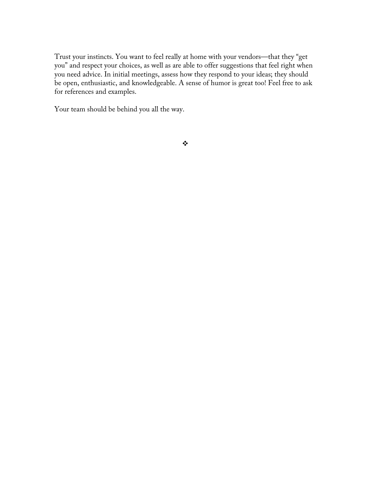Trust your instincts. You want to feel really at home with your vendors—that they "get you" and respect your choices, as well as are able to offer suggestions that feel right when you need advice. In initial meetings, assess how they respond to your ideas; they should be open, enthusiastic, and knowledgeable. A sense of humor is great too! Feel free to ask for references and examples.

Your team should be behind you all the way.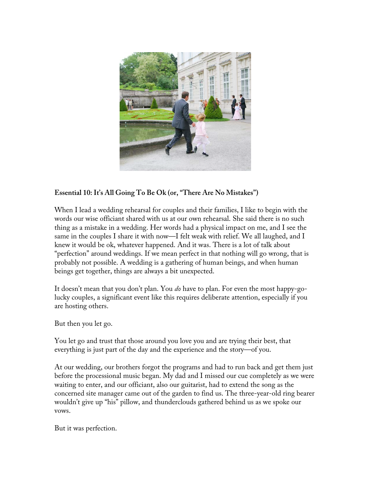

# **Essential 10: It's All Going To Be Ok (or, "There Are No Mistakes")**

When I lead a wedding rehearsal for couples and their families, I like to begin with the words our wise officiant shared with us at our own rehearsal. She said there is no such thing as a mistake in a wedding. Her words had a physical impact on me, and I see the same in the couples I share it with now—I felt weak with relief. We all laughed, and I knew it would be ok, whatever happened. And it was. There is a lot of talk about "perfection" around weddings. If we mean perfect in that nothing will go wrong, that is probably not possible. A wedding is a gathering of human beings, and when human beings get together, things are always a bit unexpected.

It doesn't mean that you don't plan. You *do* have to plan. For even the most happy-golucky couples, a significant event like this requires deliberate attention, especially if you are hosting others.

But then you let go.

You let go and trust that those around you love you and are trying their best, that everything is just part of the day and the experience and the story—of you.

At our wedding, our brothers forgot the programs and had to run back and get them just before the processional music began. My dad and I missed our cue completely as we were waiting to enter, and our officiant, also our guitarist, had to extend the song as the concerned site manager came out of the garden to find us. The three-year-old ring bearer wouldn't give up "his" pillow, and thunderclouds gathered behind us as we spoke our vows.

But it was perfection.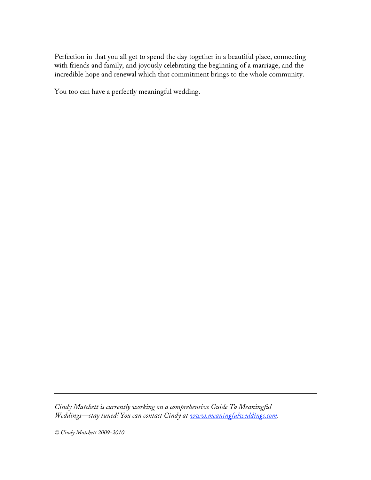Perfection in that you all get to spend the day together in a beautiful place, connecting with friends and family, and joyously celebrating the beginning of a marriage, and the incredible hope and renewal which that commitment brings to the whole community.

You too can have a perfectly meaningful wedding.

*Cindy Matchett is currently working on a comprehensive Guide To Meaningful Weddings—stay tuned! You can contact Cindy at www.meaningfulweddings.com.*

*© Cindy Matchett 2009-2010*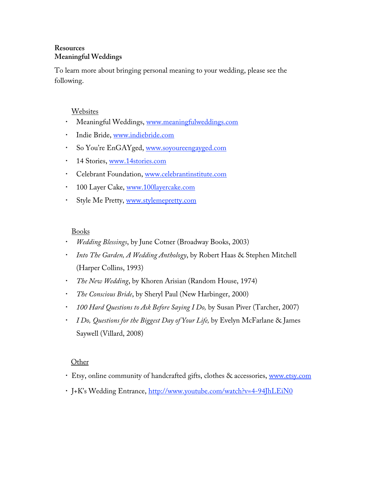#### **Resources Meaningful Weddings**

To learn more about bringing personal meaning to your wedding, please see the following.

#### Websites

- Meaningful Weddings, www.meaningfulweddings.com
- · Indie Bride, www.indiebride.com
- So You're EnGAYged, www.soyoureengayged.com
- 14 Stories, www.14stories.com
- Celebrant Foundation, www.celebrantinstitute.com
- 100 Layer Cake, www.100layercake.com
- Style Me Pretty, www.stylemepretty.com

# Books

- *Wedding Blessings*, by June Cotner (Broadway Books, 2003)
- *Into The Garden, A Wedding Anthology*, by Robert Haas & Stephen Mitchell (Harper Collins, 1993)
- *The New Wedding*, by Khoren Arisian (Random House, 1974)
- *The Conscious Bride*, by Sheryl Paul (New Harbinger, 2000)
- *100 Hard Questions to Ask Before Saying I Do,* by Susan Piver (Tarcher, 2007)
- *I Do, Questions for the Biggest Day of Your Life,* by Evelyn McFarlane & James Saywell (Villard, 2008)

# Other

- Etsy, online community of handcrafted gifts, clothes & accessories, www.etsy.com
- J+K's Wedding Entrance, http://www.youtube.com/watch?v=4-94JhLEiN0